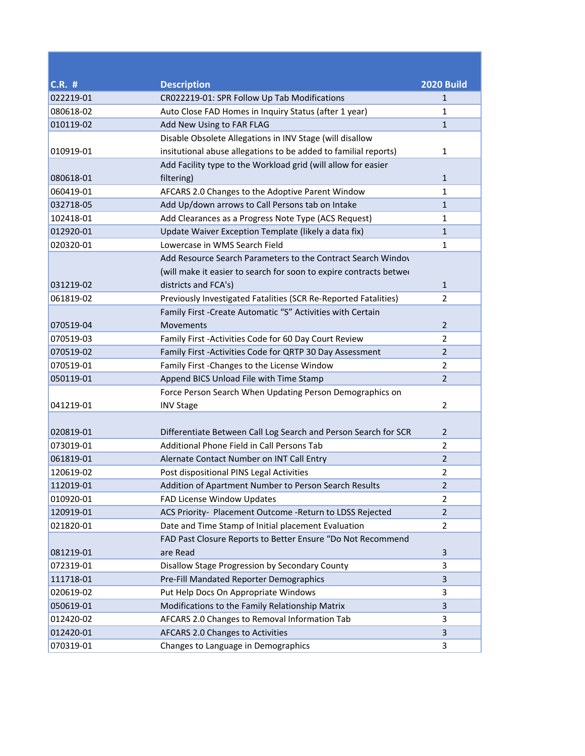| <b>C.R. #</b> | <b>Description</b>                                                 | <b>2020 Build</b> |
|---------------|--------------------------------------------------------------------|-------------------|
| 022219-01     | CR022219-01: SPR Follow Up Tab Modifications                       | 1                 |
| 080618-02     | Auto Close FAD Homes in Inquiry Status (after 1 year)              | 1                 |
| 010119-02     | Add New Using to FAR FLAG                                          | $\mathbf{1}$      |
|               | Disable Obsolete Allegations in INV Stage (will disallow           |                   |
| 010919-01     | insitutional abuse allegations to be added to familial reports)    | 1                 |
|               | Add Facility type to the Workload grid (will allow for easier      |                   |
| 080618-01     | filtering)                                                         | 1                 |
| 060419-01     | AFCARS 2.0 Changes to the Adoptive Parent Window                   | $\mathbf{1}$      |
| 032718-05     | Add Up/down arrows to Call Persons tab on Intake                   | $\mathbf{1}$      |
| 102418-01     | Add Clearances as a Progress Note Type (ACS Request)               | 1                 |
| 012920-01     | Update Waiver Exception Template (likely a data fix)               | $\mathbf{1}$      |
| 020320-01     | Lowercase in WMS Search Field                                      | 1                 |
|               | Add Resource Search Parameters to the Contract Search Windov       |                   |
|               | (will make it easier to search for soon to expire contracts betwer |                   |
| 031219-02     | districts and FCA's)                                               | $\mathbf{1}$      |
| 061819-02     | Previously Investigated Fatalities (SCR Re-Reported Fatalities)    | 2                 |
|               | Family First - Create Automatic "S" Activities with Certain        |                   |
| 070519-04     | Movements                                                          | $\overline{2}$    |
| 070519-03     | Family First - Activities Code for 60 Day Court Review             | 2                 |
| 070519-02     | Family First - Activities Code for QRTP 30 Day Assessment          | $\overline{2}$    |
| 070519-01     | Family First - Changes to the License Window                       | $\overline{2}$    |
| 050119-01     | Append BICS Unload File with Time Stamp                            | $\overline{2}$    |
|               | Force Person Search When Updating Person Demographics on           |                   |
| 041219-01     | <b>INV Stage</b>                                                   | 2                 |
|               |                                                                    |                   |
| 020819-01     | Differentiate Between Call Log Search and Person Search for SCR    | $\overline{2}$    |
| 073019-01     | Additional Phone Field in Call Persons Tab                         | $\overline{2}$    |
| 061819-01     | Alernate Contact Number on INT Call Entry                          | $\overline{2}$    |
| 120619-02     | Post dispositional PINS Legal Activities                           | $\overline{2}$    |
| 112019-01     | Addition of Apartment Number to Person Search Results              | $\overline{2}$    |
| 010920-01     | FAD License Window Updates                                         | $\overline{2}$    |
| 120919-01     | ACS Priority- Placement Outcome -Return to LDSS Rejected           | $\overline{2}$    |
| 021820-01     | Date and Time Stamp of Initial placement Evaluation                | $\overline{2}$    |
|               | FAD Past Closure Reports to Better Ensure "Do Not Recommend        |                   |
| 081219-01     | are Read                                                           | 3                 |
| 072319-01     | Disallow Stage Progression by Secondary County                     | 3                 |
| 111718-01     | Pre-Fill Mandated Reporter Demographics                            | 3                 |
| 020619-02     | Put Help Docs On Appropriate Windows                               | 3                 |
| 050619-01     | Modifications to the Family Relationship Matrix                    | 3                 |
| 012420-02     | AFCARS 2.0 Changes to Removal Information Tab                      | 3                 |
| 012420-01     | AFCARS 2.0 Changes to Activities                                   | 3                 |
| 070319-01     | Changes to Language in Demographics                                | 3                 |